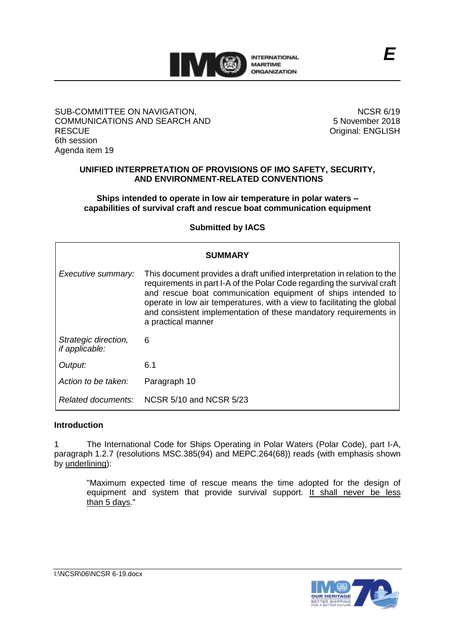

### SUB-COMMITTEE ON NAVIGATION, COMMUNICATIONS AND SEARCH AND **RESCUE** 6th session Agenda item 19

NCSR 6/19 5 November 2018 Original: ENGLISH

*E*

# **UNIFIED INTERPRETATION OF PROVISIONS OF IMO SAFETY, SECURITY, AND ENVIRONMENT-RELATED CONVENTIONS**

### **Ships intended to operate in low air temperature in polar waters – capabilities of survival craft and rescue boat communication equipment**

# **Submitted by IACS**

| <b>SUMMARY</b>                         |                                                                                                                                                                                                                                                                                                                                                                                          |
|----------------------------------------|------------------------------------------------------------------------------------------------------------------------------------------------------------------------------------------------------------------------------------------------------------------------------------------------------------------------------------------------------------------------------------------|
| Executive summary:                     | This document provides a draft unified interpretation in relation to the<br>requirements in part I-A of the Polar Code regarding the survival craft<br>and rescue boat communication equipment of ships intended to<br>operate in low air temperatures, with a view to facilitating the global<br>and consistent implementation of these mandatory requirements in<br>a practical manner |
| Strategic direction,<br>if applicable: | 6                                                                                                                                                                                                                                                                                                                                                                                        |
| Output:                                | 6.1                                                                                                                                                                                                                                                                                                                                                                                      |
| Action to be taken:                    | Paragraph 10                                                                                                                                                                                                                                                                                                                                                                             |
| Related documents:                     | NCSR 5/10 and NCSR 5/23                                                                                                                                                                                                                                                                                                                                                                  |

### **Introduction**

1 The International Code for Ships Operating in Polar Waters (Polar Code), part I-A, paragraph 1.2.7 (resolutions MSC.385(94) and MEPC.264(68)) reads (with emphasis shown by underlining):

"Maximum expected time of rescue means the time adopted for the design of equipment and system that provide survival support. It shall never be less than 5 days."

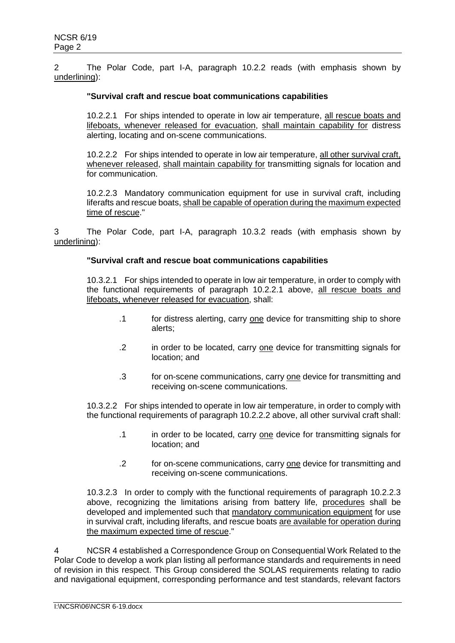2 The Polar Code, part I-A, paragraph 10.2.2 reads (with emphasis shown by underlining):

### **"Survival craft and rescue boat communications capabilities**

10.2.2.1 For ships intended to operate in low air temperature, all rescue boats and lifeboats, whenever released for evacuation, shall maintain capability for distress alerting, locating and on-scene communications.

10.2.2.2 For ships intended to operate in low air temperature, all other survival craft, whenever released, shall maintain capability for transmitting signals for location and for communication.

10.2.2.3 Mandatory communication equipment for use in survival craft, including liferafts and rescue boats, shall be capable of operation during the maximum expected time of rescue."

3 The Polar Code, part I-A, paragraph 10.3.2 reads (with emphasis shown by underlining):

### **"Survival craft and rescue boat communications capabilities**

10.3.2.1 For ships intended to operate in low air temperature, in order to comply with the functional requirements of paragraph 10.2.2.1 above, all rescue boats and lifeboats, whenever released for evacuation, shall:

- .1 for distress alerting, carry one device for transmitting ship to shore alerts;
- .2 in order to be located, carry one device for transmitting signals for location; and
- .3 for on-scene communications, carry one device for transmitting and receiving on-scene communications.

10.3.2.2 For ships intended to operate in low air temperature, in order to comply with the functional requirements of paragraph 10.2.2.2 above, all other survival craft shall:

- .1 in order to be located, carry one device for transmitting signals for location; and
- .2 for on-scene communications, carry one device for transmitting and receiving on-scene communications.

10.3.2.3 In order to comply with the functional requirements of paragraph 10.2.2.3 above, recognizing the limitations arising from battery life, procedures shall be developed and implemented such that mandatory communication equipment for use in survival craft, including liferafts, and rescue boats are available for operation during the maximum expected time of rescue."

4 NCSR 4 established a Correspondence Group on Consequential Work Related to the Polar Code to develop a work plan listing all performance standards and requirements in need of revision in this respect. This Group considered the SOLAS requirements relating to radio and navigational equipment, corresponding performance and test standards, relevant factors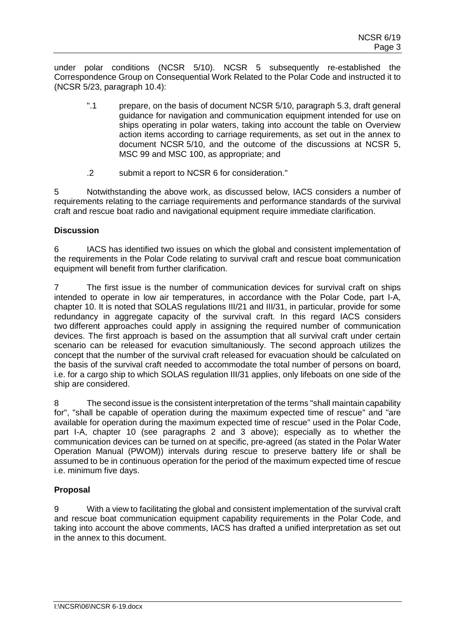under polar conditions (NCSR 5/10). NCSR 5 subsequently re-established the Correspondence Group on Consequential Work Related to the Polar Code and instructed it to (NCSR 5/23, paragraph 10.4):

- ".1 prepare, on the basis of document NCSR 5/10, paragraph 5.3, draft general guidance for navigation and communication equipment intended for use on ships operating in polar waters, taking into account the table on Overview action items according to carriage requirements, as set out in the annex to document NCSR 5/10, and the outcome of the discussions at NCSR 5, MSC 99 and MSC 100, as appropriate; and
- .2 submit a report to NCSR 6 for consideration."

5 Notwithstanding the above work, as discussed below, IACS considers a number of requirements relating to the carriage requirements and performance standards of the survival craft and rescue boat radio and navigational equipment require immediate clarification.

# **Discussion**

6 IACS has identified two issues on which the global and consistent implementation of the requirements in the Polar Code relating to survival craft and rescue boat communication equipment will benefit from further clarification.

7 The first issue is the number of communication devices for survival craft on ships intended to operate in low air temperatures, in accordance with the Polar Code, part I-A, chapter 10. It is noted that SOLAS regulations III/21 and III/31, in particular, provide for some redundancy in aggregate capacity of the survival craft. In this regard IACS considers two different approaches could apply in assigning the required number of communication devices. The first approach is based on the assumption that all survival craft under certain scenario can be released for evacution simultaniously. The second approach utilizes the concept that the number of the survival craft released for evacuation should be calculated on the basis of the survival craft needed to accommodate the total number of persons on board, i.e. for a cargo ship to which SOLAS regulation III/31 applies, only lifeboats on one side of the ship are considered.

The second issue is the consistent interpretation of the terms "shall maintain capability" for", "shall be capable of operation during the maximum expected time of rescue" and "are available for operation during the maximum expected time of rescue" used in the Polar Code, part I-A, chapter 10 (see paragraphs 2 and 3 above); especially as to whether the communication devices can be turned on at specific, pre-agreed (as stated in the Polar Water Operation Manual (PWOM)) intervals during rescue to preserve battery life or shall be assumed to be in continuous operation for the period of the maximum expected time of rescue i.e. minimum five days.

# **Proposal**

9 With a view to facilitating the global and consistent implementation of the survival craft and rescue boat communication equipment capability requirements in the Polar Code, and taking into account the above comments, IACS has drafted a unified interpretation as set out in the annex to this document.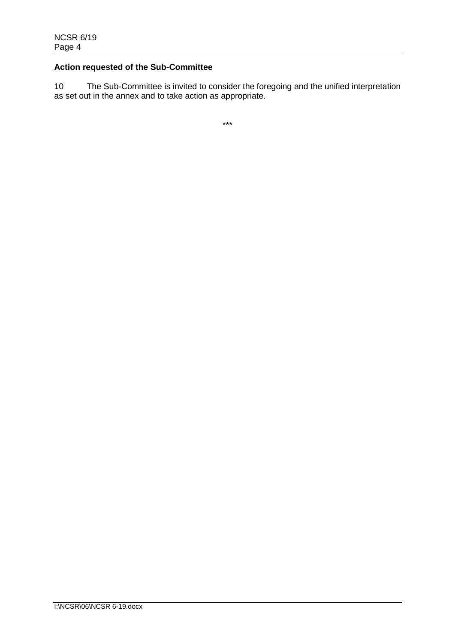# **Action requested of the Sub-Committee**

10 The Sub-Committee is invited to consider the foregoing and the unified interpretation as set out in the annex and to take action as appropriate.

\*\*\*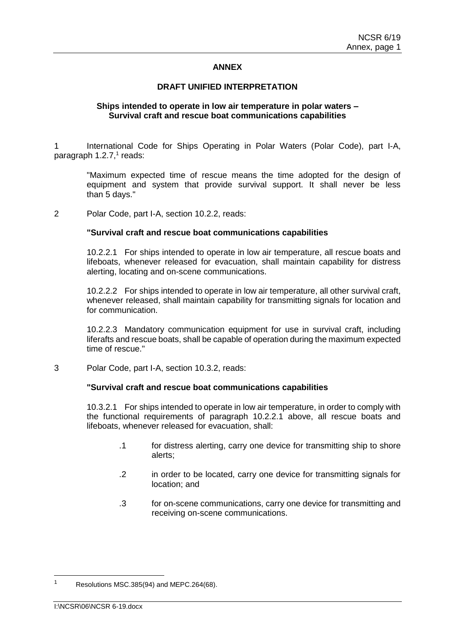### **ANNEX**

### **DRAFT UNIFIED INTERPRETATION**

### **Ships intended to operate in low air temperature in polar waters – Survival craft and rescue boat communications capabilities**

1 International Code for Ships Operating in Polar Waters (Polar Code), part I-A, paragraph 1.2.7,<sup>1</sup> reads:

"Maximum expected time of rescue means the time adopted for the design of equipment and system that provide survival support. It shall never be less than 5 days."

2 Polar Code, part I-A, section 10.2.2, reads:

### **"Survival craft and rescue boat communications capabilities**

10.2.2.1 For ships intended to operate in low air temperature, all rescue boats and lifeboats, whenever released for evacuation, shall maintain capability for distress alerting, locating and on-scene communications.

10.2.2.2 For ships intended to operate in low air temperature, all other survival craft, whenever released, shall maintain capability for transmitting signals for location and for communication.

10.2.2.3 Mandatory communication equipment for use in survival craft, including liferafts and rescue boats, shall be capable of operation during the maximum expected time of rescue."

3 Polar Code, part I-A, section 10.3.2, reads:

### **"Survival craft and rescue boat communications capabilities**

10.3.2.1 For ships intended to operate in low air temperature, in order to comply with the functional requirements of paragraph 10.2.2.1 above, all rescue boats and lifeboats, whenever released for evacuation, shall:

- .1 for distress alerting, carry one device for transmitting ship to shore alerts;
- .2 in order to be located, carry one device for transmitting signals for location; and
- .3 for on-scene communications, carry one device for transmitting and receiving on-scene communications.

 $\overline{a}$ 

<sup>1</sup> Resolutions MSC.385(94) and MEPC.264(68).